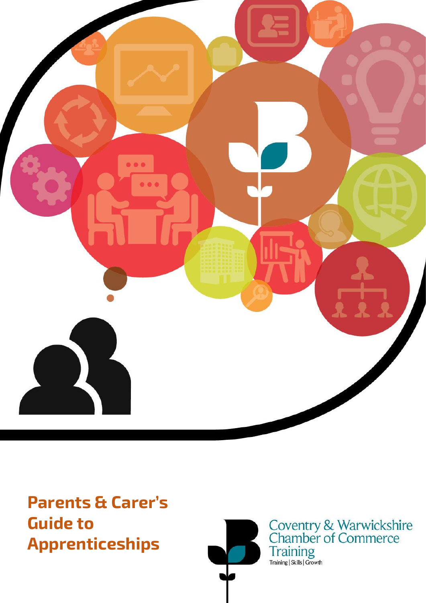

**Parents & Carer's Guide to Apprenticeships**



Coventry & Warwickshire<br>Chamber of Commerce<br>Training<br>Training|Skills|Growth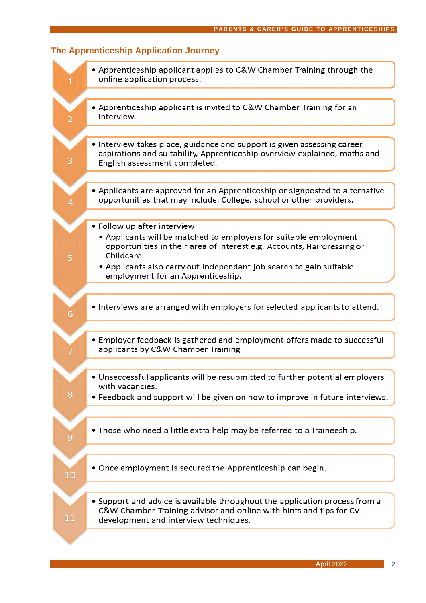| 1  | • Apprenticeship applicant applies to C&W Chamber Training through the<br>online application process.                                                                                                                                                                                                 |
|----|-------------------------------------------------------------------------------------------------------------------------------------------------------------------------------------------------------------------------------------------------------------------------------------------------------|
|    | • Apprenticeship applicant is invited to C&W Chamber Training for an<br>interview.                                                                                                                                                                                                                    |
| З  | • Interview takes place, guidance and support is given assessing career<br>aspirations and suitability, Apprenticeship overview explained, maths and<br>English assessment completed.                                                                                                                 |
|    | • Applicants are approved for an Apprenticeship or signposted to alternative<br>opportunities that may include, College, school or other providers.                                                                                                                                                   |
| 5  | • Follow up after interview:<br>• Applicants will be matched to employers for suitable employment<br>opportunities in their area of interest e.g. Accounts, Hairdressing or<br>Childcare.<br>• Applicants also carry out independant job search to gain suitable<br>employment for an Apprenticeship. |
| 6  | • Interviews are arranged with employers for selected applicants to attend.                                                                                                                                                                                                                           |
|    | • Employer feedback is gathered and employment offers made to successful<br>applicants by C&W Chamber Training                                                                                                                                                                                        |
| 8  | • Unseccessful applicants will be resubmitted to further potential employers<br>with vacancies.<br>• Feedback and support will be given on how to improve in future interviews.                                                                                                                       |
| 9  | • Those who need a little extra help may be referred to a Traineeship.                                                                                                                                                                                                                                |
| 10 | • Once employment is secured the Apprenticeship can begin.                                                                                                                                                                                                                                            |
| 11 | • Support and advice is available throughout the application process from a<br>C&W Chamber Training advisor and online with hints and tips for CV<br>development and interview techniques.                                                                                                            |
|    |                                                                                                                                                                                                                                                                                                       |

# The Apprenticeship Application Journey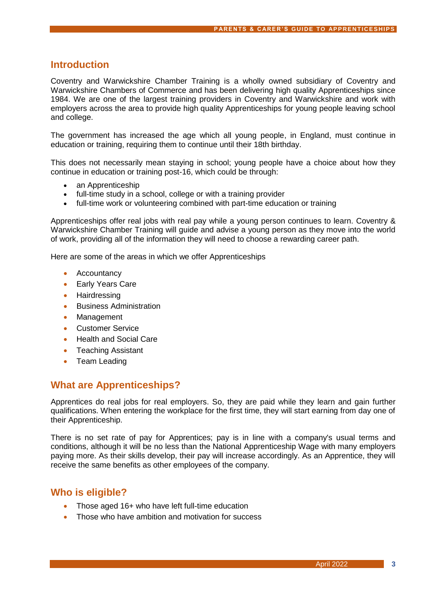## **Introduction**

Coventry and Warwickshire Chamber Training is a wholly owned subsidiary of Coventry and Warwickshire Chambers of Commerce and has been delivering high quality Apprenticeships since 1984. We are one of the largest training providers in Coventry and Warwickshire and work with employers across the area to provide high quality Apprenticeships for young people leaving school and college.

The government has increased the age which all young people, in England, must continue in education or training, requiring them to continue until their 18th birthday.

This does not necessarily mean staying in school; young people have a choice about how they continue in education or training post-16, which could be through:

- [an Apprenticeship](http://www.apprenticeships.org.uk/)
- full-time study in a school, college or with a training provider
- full-time work or volunteering combined with part-time education or training

Apprenticeships offer real jobs with real pay while a young person continues to learn. Coventry & Warwickshire Chamber Training will guide and advise a young person as they move into the world of work, providing all of the information they will need to choose a rewarding career path.

Here are some of the areas in which we offer Apprenticeships

- **Accountancy**
- Early Years Care
- Hairdressing
- Business Administration
- **Management**
- Customer Service
- Health and Social Care
- Teaching Assistant
- Team Leading

## **What are Apprenticeships?**

Apprentices do real jobs for real employers. So, they are paid while they learn and gain further qualifications. When entering the workplace for the first time, they will start earning from day one of their Apprenticeship.

There is no set rate of pay for Apprentices; pay is in line with a company's usual terms and conditions, although it will be no less than the National Apprenticeship Wage with many employers paying more. As their skills develop, their pay will increase accordingly. As an Apprentice, they will receive the same benefits as other employees of the company.

## **Who is eligible?**

- Those aged 16+ who have left full-time education
- Those who have ambition and motivation for success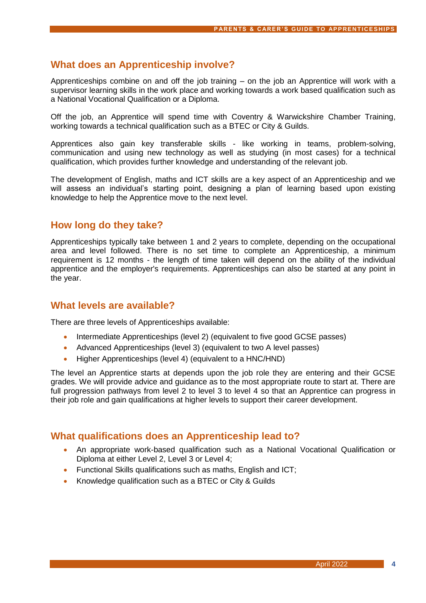# **What does an Apprenticeship involve?**

Apprenticeships combine on and off the job training – on the job an Apprentice will work with a supervisor learning skills in the work place and working towards a work based qualification such as a National Vocational Qualification or a Diploma.

Off the job, an Apprentice will spend time with Coventry & Warwickshire Chamber Training, working towards a technical qualification such as a BTEC or City & Guilds.

Apprentices also gain key transferable skills - like working in teams, problem-solving, communication and using new technology as well as studying (in most cases) for a technical qualification, which provides further knowledge and understanding of the relevant job.

The development of English, maths and ICT skills are a key aspect of an Apprenticeship and we will assess an individual's starting point, designing a plan of learning based upon existing knowledge to help the Apprentice move to the next level.

# **How long do they take?**

Apprenticeships typically take between 1 and 2 years to complete, depending on the occupational area and level followed. There is no set time to complete an Apprenticeship, a minimum requirement is 12 months - the length of time taken will depend on the ability of the individual apprentice and the employer's requirements. Apprenticeships can also be started at any point in the year.

## **What levels are available?**

There are three levels of Apprenticeships available:

- Intermediate Apprenticeships (level 2) (equivalent to five good GCSE passes)
- Advanced Apprenticeships (level 3) (equivalent to two A level passes)
- Higher Apprenticeships (level 4) (equivalent to a HNC/HND)

The level an Apprentice starts at depends upon the job role they are entering and their GCSE grades. We will provide advice and guidance as to the most appropriate route to start at. There are full progression pathways from level 2 to level 3 to level 4 so that an Apprentice can progress in their job role and gain qualifications at higher levels to support their career development.

# **What qualifications does an Apprenticeship lead to?**

- An appropriate work-based qualification such as a National Vocational Qualification or Diploma at either Level 2, Level 3 or Level 4;
- Functional Skills qualifications such as maths, English and ICT;
- Knowledge qualification such as a BTEC or City & Guilds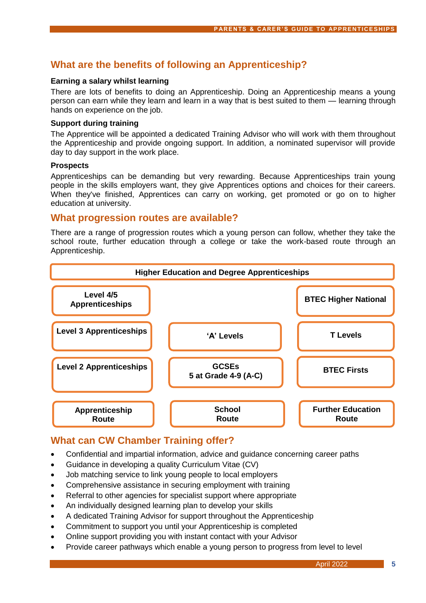# **What are the benefits of following an Apprenticeship?**

#### **Earning a salary whilst learning**

There are lots of benefits to doing an Apprenticeship. Doing an Apprenticeship means a young person can earn while they learn and learn in a way that is best suited to them — learning through hands on experience on the job.

#### **Support during training**

The Apprentice will be appointed a dedicated Training Advisor who will work with them throughout the Apprenticeship and provide ongoing support. In addition, a nominated supervisor will provide day to day support in the work place.

#### **Prospects**

Apprenticeships can be demanding but very rewarding. Because Apprenticeships train young people in the skills employers want, they give Apprentices options and choices for their careers. When they've finished, Apprentices can carry on working, get promoted or go on to higher education at university.

## **What progression routes are available?**

There are a range of progression routes which a young person can follow, whether they take the school route, further education through a college or take the work-based route through an Apprenticeship.



# **What can CW Chamber Training offer?**

- Confidential and impartial information, advice and guidance concerning career paths
- Guidance in developing a quality Curriculum Vitae (CV)
- Job matching service to link young people to local employers
- Comprehensive assistance in securing employment with training
- Referral to other agencies for specialist support where appropriate
- An individually designed learning plan to develop your skills
- A dedicated Training Advisor for support throughout the Apprenticeship
- Commitment to support you until your Apprenticeship is completed
- Online support providing you with instant contact with your Advisor
- Provide career pathways which enable a young person to progress from level to level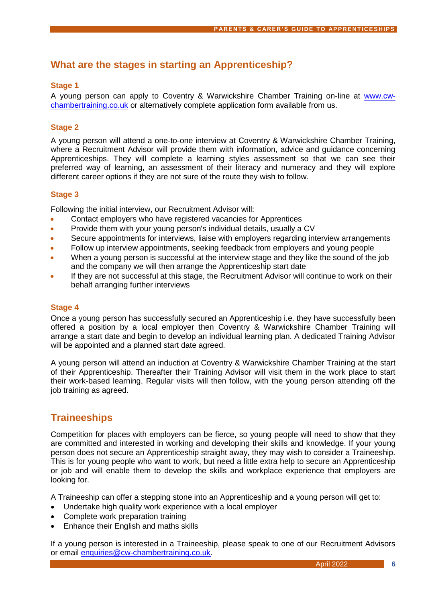# **What are the stages in starting an Apprenticeship?**

### **Stage 1**

A young person can apply to Coventry & Warwickshire Chamber Training on-line at [www.cw](http://www.cw-chambertraining.co.uk/)[chambertraining.co.uk](http://www.cw-chambertraining.co.uk/) or alternatively complete application form available from us.

### **Stage 2**

A young person will attend a one-to-one interview at Coventry & Warwickshire Chamber Training, where a Recruitment Advisor will provide them with information, advice and guidance concerning Apprenticeships. They will complete a learning styles assessment so that we can see their preferred way of learning, an assessment of their literacy and numeracy and they will explore different career options if they are not sure of the route they wish to follow.

#### **Stage 3**

Following the initial interview, our Recruitment Advisor will:

- Contact employers who have registered vacancies for Apprentices
- Provide them with your young person's individual details, usually a CV
- Secure appointments for interviews, liaise with employers regarding interview arrangements
- Follow up interview appointments, seeking feedback from employers and young people
- When a young person is successful at the interview stage and they like the sound of the job and the company we will then arrange the Apprenticeship start date
- If they are not successful at this stage, the Recruitment Advisor will continue to work on their behalf arranging further interviews

#### **Stage 4**

Once a young person has successfully secured an Apprenticeship i.e. they have successfully been offered a position by a local employer then Coventry & Warwickshire Chamber Training will arrange a start date and begin to develop an individual learning plan. A dedicated Training Advisor will be appointed and a planned start date agreed.

A young person will attend an induction at Coventry & Warwickshire Chamber Training at the start of their Apprenticeship. Thereafter their Training Advisor will visit them in the work place to start their work-based learning. Regular visits will then follow, with the young person attending off the job training as agreed.

# **Traineeships**

Competition for places with employers can be fierce, so young people will need to show that they are committed and interested in working and developing their skills and knowledge. If your young person does not secure an Apprenticeship straight away, they may wish to consider a Traineeship. This is for young people who want to work, but need a little extra help to secure an Apprenticeship or job and will enable them to develop the skills and workplace experience that employers are looking for.

A Traineeship can offer a stepping stone into an Apprenticeship and a young person will get to:

- Undertake high quality work experience with a local employer
- Complete work preparation training
- Enhance their English and maths skills

If a young person is interested in a Traineeship, please speak to one of our Recruitment Advisors or email [enquiries@cw-chambertraining.co.uk.](mailto:enquiries@cw-chambertraining.co.uk)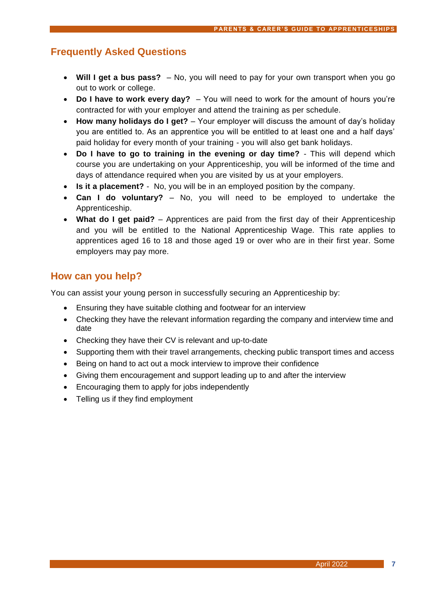## **Frequently Asked Questions**

- **Will I get a bus pass?** No, you will need to pay for your own transport when you go out to work or college.
- **Do I have to work every day?** You will need to work for the amount of hours you're contracted for with your employer and attend the training as per schedule.
- **How many holidays do I get?** Your employer will discuss the amount of day's holiday you are entitled to. As an apprentice you will be entitled to at least one and a half days' paid holiday for every month of your training - you will also get bank holidays.
- **Do I have to go to training in the evening or day time?** This will depend which course you are undertaking on your Apprenticeship, you will be informed of the time and days of attendance required when you are visited by us at your employers.
- **Is it a placement?** No, you will be in an employed position by the company.
- **Can I do voluntary?** No, you will need to be employed to undertake the Apprenticeship.
- What do I get paid? Apprentices are paid from the first day of their Apprenticeship and you will be entitled to the National Apprenticeship Wage. This rate applies to apprentices aged 16 to 18 and those aged 19 or over who are in their first year. Some employers may pay more.

# **How can you help?**

You can assist your young person in successfully securing an Apprenticeship by:

- Ensuring they have suitable clothing and footwear for an interview
- Checking they have the relevant information regarding the company and interview time and date
- Checking they have their CV is relevant and up-to-date
- Supporting them with their travel arrangements, checking public transport times and access
- Being on hand to act out a mock interview to improve their confidence
- Giving them encouragement and support leading up to and after the interview
- Encouraging them to apply for jobs independently
- Telling us if they find employment